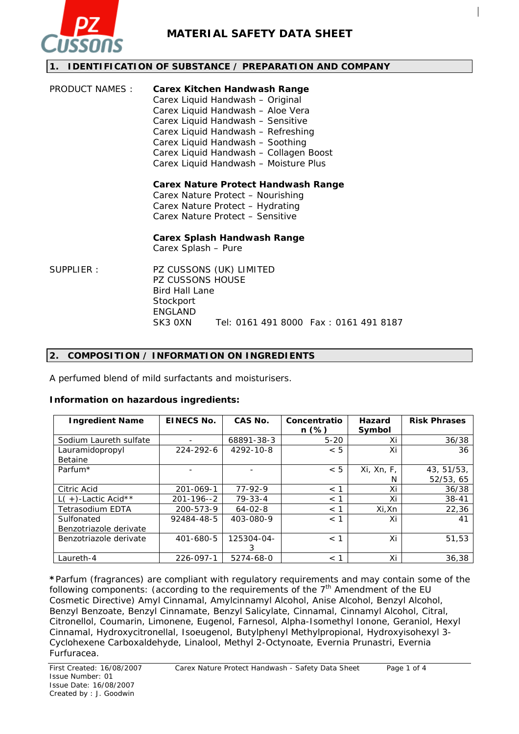

### **1. IDENTIFICATION OF SUBSTANCE / PREPARATION AND COMPANY**

| PRODUCT NAMES : | <b>Carex Kitchen Handwash Range</b><br>Carex Liquid Handwash - Original<br>Carex Liquid Handwash - Aloe Vera<br>Carex Liquid Handwash - Sensitive<br>Carex Liquid Handwash - Refreshing<br>Carex Liquid Handwash - Soothing<br>Carex Liquid Handwash - Collagen Boost<br>Carex Liquid Handwash - Moisture Plus |
|-----------------|----------------------------------------------------------------------------------------------------------------------------------------------------------------------------------------------------------------------------------------------------------------------------------------------------------------|
|                 | Carex Nature Protect Handwash Range<br>Carex Nature Protect – Nourishing<br>Carex Nature Protect - Hydrating<br>Carex Nature Protect - Sensitive                                                                                                                                                               |

**Carex Splash Handwash Range** 

Carex Splash – Pure

SUPPLIER : PZ CUSSONS (UK) LIMITED PZ CUSSONS HOUSE Bird Hall Lane **Stockport** ENGLAND SK3 0XN Tel: 0161 491 8000 Fax : 0161 491 8187

### **2. COMPOSITION / INFORMATION ON INGREDIENTS**

A perfumed blend of mild surfactants and moisturisers.

### **Information on hazardous ingredients:**

| <b>Ingredient Name</b>  | <b>EINECS No.</b> | <b>CAS No.</b> | Concentratio<br>$n (\%)$ | Hazard<br>Symbol | <b>Risk Phrases</b> |
|-------------------------|-------------------|----------------|--------------------------|------------------|---------------------|
| Sodium Laureth sulfate  |                   | 68891-38-3     | $5 - 20$                 | Xi               | 36/38               |
| Lauramidopropyl         | 224-292-6         | 4292-10-8      | < 5                      | Xi               | 36                  |
| <b>Betaine</b>          |                   |                |                          |                  |                     |
| Parfum <sup>*</sup>     |                   |                | < 5                      | Xi, Xn, F,       | 43, 51/53,          |
|                         |                   |                |                          | N                | 52/53, 65           |
| Citric Acid             | 201-069-1         | $77-92-9$      | < 1                      | Xi               | 36/38               |
| $L(+)$ -Lactic Acid**   | $201 - 196 - 2$   | $79 - 33 - 4$  | $<$ 1                    | Xi               | $38 - 41$           |
| <b>Tetrasodium EDTA</b> | 200-573-9         | $64 - 02 - 8$  | $<$ 1                    | Xi,Xn            | 22,36               |
| Sulfonated              | 92484-48-5        | 403-080-9      | < 1                      | Xi               | 41                  |
| Benzotriazole derivate  |                   |                |                          |                  |                     |
| Benzotriazole derivate  | 401-680-5         | 125304-04-     | < 1                      | Xi               | 51,53               |
|                         |                   | 3              |                          |                  |                     |
| Laureth-4               | 226-097-1         | 5274-68-0      | $<$ 1                    | Xi               | 36,38               |

**\***Parfum (fragrances) are compliant with regulatory requirements and may contain some of the following components: (according to the requirements of the  $7<sup>th</sup>$  Amendment of the EU Cosmetic Directive) Amyl Cinnamal, Amylcinnamyl Alcohol, Anise Alcohol, Benzyl Alcohol, Benzyl Benzoate, Benzyl Cinnamate, Benzyl Salicylate, Cinnamal, Cinnamyl Alcohol, Citral, Citronellol, Coumarin, Limonene, Eugenol, Farnesol, Alpha-Isomethyl Ionone, Geraniol, Hexyl Cinnamal, Hydroxycitronellal, Isoeugenol, Butylphenyl Methylpropional, Hydroxyisohexyl 3- Cyclohexene Carboxaldehyde, Linalool, Methyl 2-Octynoate, Evernia Prunastri, Evernia Furfuracea.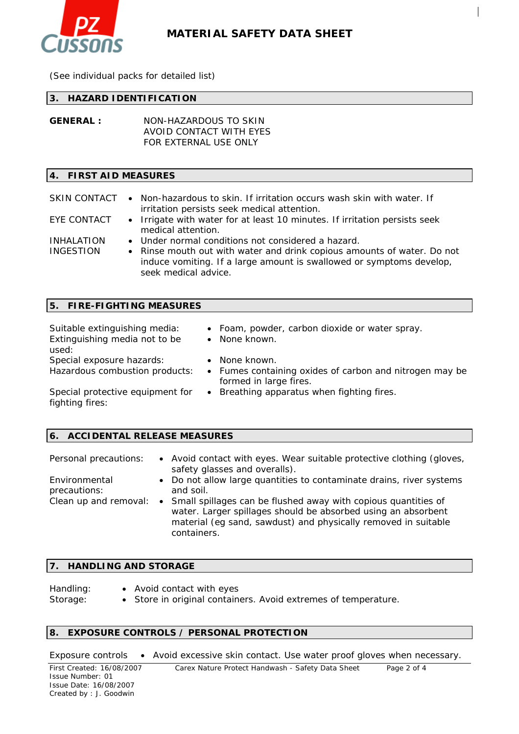

(See individual packs for detailed list)

### **3. HAZARD IDENTIFICATION**

**GENERAL :** NON-HAZARDOUS TO SKIN AVOID CONTACT WITH EYES FOR EXTERNAL USE ONLY

### **4. FIRST AID MEASURES**

#### SKIN CONTACT • Non-hazardous to skin. If irritation occurs wash skin with water. If irritation persists seek medical attention.

- EYE CONTACT Irrigate with water for at least 10 minutes. If irritation persists seek medical attention.
- INHALATION Under normal conditions not considered a hazard.

INGESTION • Rinse mouth out with water and drink copious amounts of water. Do not induce vomiting. If a large amount is swallowed or symptoms develop, seek medical advice.

| Suitable extinguishing media:<br>Extinguishing media not to be<br>used: | • Foam, powder, carbon dioxide or water spray.<br>• None known.                                  |
|-------------------------------------------------------------------------|--------------------------------------------------------------------------------------------------|
| Special exposure hazards:<br>Hazardous combustion products:             | None known.<br>• Fumes containing oxides of carbon and nitrogen may be<br>formed in large fires. |
| Special protective equipment for<br>fighting fires:                     | • Breathing apparatus when fighting fires.                                                       |

### **6. ACCIDENTAL RELEASE MEASURES**

| Personal precautions:         | • Avoid contact with eyes. Wear suitable protective clothing (gloves,<br>safety glasses and overalls).                                                                                                             |
|-------------------------------|--------------------------------------------------------------------------------------------------------------------------------------------------------------------------------------------------------------------|
| Environmental<br>precautions: | • Do not allow large quantities to contaminate drains, river systems<br>and soil.                                                                                                                                  |
| Clean up and removal:         | • Small spillages can be flushed away with copious quantities of<br>water. Larger spillages should be absorbed using an absorbent<br>material (eg sand, sawdust) and physically removed in suitable<br>containers. |

### **7. HANDLING AND STORAGE**

Handling: • Avoid contact with eyes Storage: • Store in original containers. Avoid extremes of temperature.

## **8. EXPOSURE CONTROLS / PERSONAL PROTECTION**

Exposure controls • Avoid excessive skin contact. Use water proof gloves when necessary.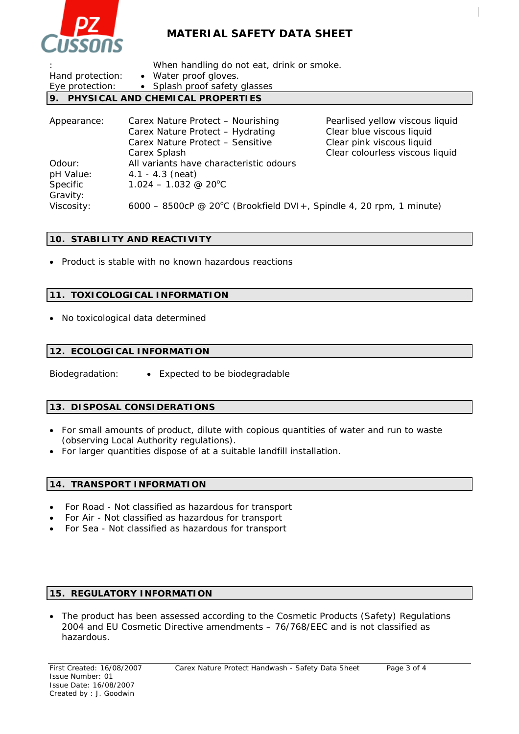

|  | When handling do not eat, drink or smoke. |
|--|-------------------------------------------|
|  |                                           |

| Hand protection: | • Water proof gloves.               |                                 |
|------------------|-------------------------------------|---------------------------------|
| Eye protection:  | • Splash proof safety glasses       |                                 |
|                  | 9. PHYSICAL AND CHEMICAL PROPERTIES |                                 |
|                  |                                     |                                 |
| Appearance:      | Carex Nature Protect - Nourishing   | Pearlised yellow viscous liquid |

|            | Carex Nature Protect - Hydrating                                    | Clear blue viscous liquid       |
|------------|---------------------------------------------------------------------|---------------------------------|
|            | Carex Nature Protect - Sensitive                                    | Clear pink viscous liquid       |
|            | Carex Splash                                                        | Clear colourless viscous liquid |
| Odour:     | All variants have characteristic odours                             |                                 |
| pH Value:  | $4.1 - 4.3$ (neat)                                                  |                                 |
| Specific   | $1.024 - 1.032$ @ 20 <sup>o</sup> C                                 |                                 |
| Gravity:   |                                                                     |                                 |
| Viscosity: | 6000 - 8500cP @ 20°C (Brookfield DVI+, Spindle 4, 20 rpm, 1 minute) |                                 |
|            |                                                                     |                                 |

## **10. STABILITY AND REACTIVITY**

• Product is stable with no known hazardous reactions

## **11. TOXICOLOGICAL INFORMATION**

• No toxicological data determined

## **12. ECOLOGICAL INFORMATION**

Biodegradation: • Expected to be biodegradable

### **13. DISPOSAL CONSIDERATIONS**

- For small amounts of product, dilute with copious quantities of water and run to waste (observing Local Authority regulations).
- For larger quantities dispose of at a suitable landfill installation.

### **14. TRANSPORT INFORMATION**

- For Road Not classified as hazardous for transport
- For Air Not classified as hazardous for transport
- For Sea Not classified as hazardous for transport

## **15. REGULATORY INFORMATION**

• The product has been assessed according to the Cosmetic Products (Safety) Regulations 2004 and EU Cosmetic Directive amendments – 76/768/EEC and is not classified as hazardous.